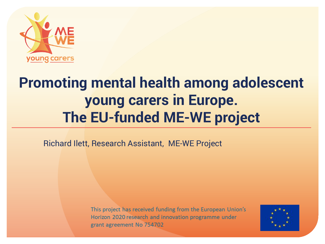

# **Promoting mental health among adolescent young carers in Europe. The EU-funded ME-WE project**

Richard Ilett, Research Assistant, ME-WE Project

This project has received funding from the European Union's Horizon 2020 research and innovation programme under grant agreement No 754702

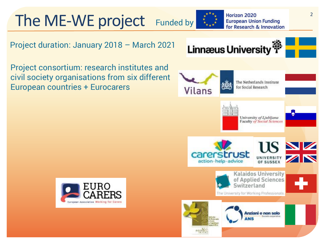The ME-WE project Funded by

Horizon 2020 **European Union Funding** for Research & Innovation

Project duration: January 2018 – March 2021

Project consortium: research institutes and civil society organisations from six different European countries + Eurocarers



$$
\mathbb{P} \models \blacksquare
$$



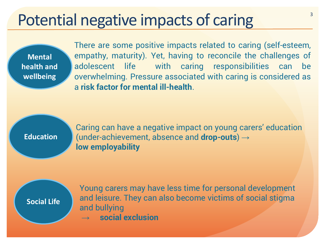#### Potential negative impacts of caring

**Mental health and wellbeing** 

There are some positive impacts related to caring (self-esteem, empathy, maturity). Yet, having to reconcile the challenges of adolescent life with caring responsibilities can be overwhelming. Pressure associated with caring is considered as a **risk factor for mental ill-health**.

**Education**

Caring can have a negative impact on young carers' education (under-achievement, absence and **drop-outs**) → **low employability**

**Social Life** 

Young carers may have less time for personal development and leisure. They can also become victims of social stigma and bullying

→ **social exclusion**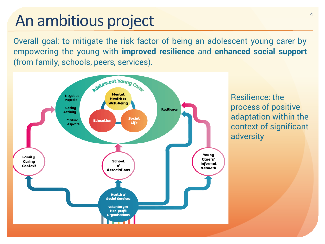# An ambitious project

Overall goal: to mitigate the risk factor of being an adolescent young carer by empowering the young with **improved resilience** and **enhanced social support** (from family, schools, peers, services).



Resilience: the process of positive adaptation within the context of significant adversity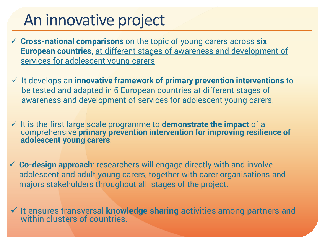# An innovative project

- **Cross-national comparisons** on the topic of young carers across **six European countries,** at different stages of awareness and development of services for adolescent young carers
- It develops an **innovative framework of primary prevention interventions** to be tested and adapted in 6 European countries at different stages of awareness and development of services for adolescent young carers.
- It is the first large scale programme to **demonstrate the impact** of a comprehensive **primary prevention intervention for improving resilience of adolescent young carers**.
- **Co-design approach**: researchers will engage directly with and involve adolescent and adult young carers, together with carer organisations and majors stakeholders throughout all stages of the project.
- It ensures transversal **knowledge sharing** activities among partners and within clusters of countries.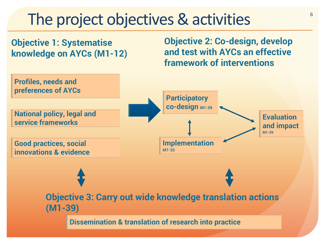#### The project objectives & activities

**Objective 1: Systematise knowledge on AYCs (M1-12)** **Objective 2: Co-design, develop and test with AYCs an effective framework of interventions**